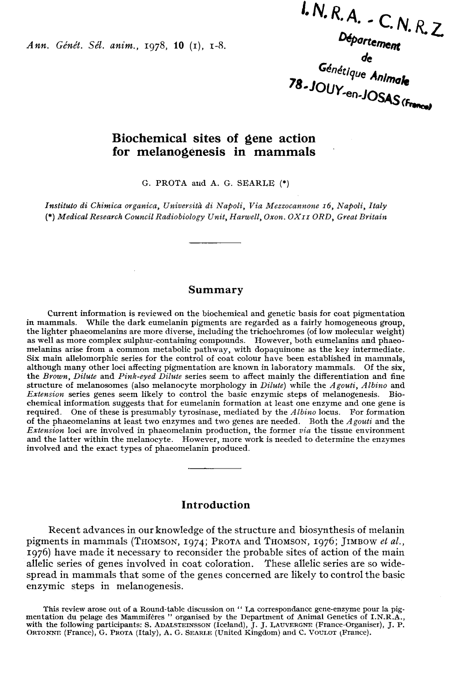Ann. Génét. Sél. anim., 1978, 10 (1), 1-8.

 $kN.R.A. - C.N.R.Z$  $0.18, K, A. - C, N, R, Z$ <br>Département<br>Génétique Animale<br>78-JOUY-en-JOSAS (Frances)

# Biochemical sites of gene action for melanogenesis in mammals

G. PROTA and A. G. SEARLE (\*)

Instituto di Chimica organica, Università di Napoli, Via Mezzocannone 16, Napoli, Italy (\*) Medical Research Council Radiobiology Unit, Harwell, Oxon. OX11 ORD, Great Britain

#### Summary

Current information is reviewed on the biochemical and genetic basis for coat pigmentation the lighter phaeomelanins are more diverse, including the trichochromes (of low molecular weight) as well as more complex sulphur-containing compounds. However, both eumelanins and phaeomelanins arise from a common metabol Six main allelomorphic series for the control of coat colour have been established in mammals, although many other loci affecting pigmentation are known in laboratory mammals. Of the six, the Brown, Dilute and Pink-eyed Dilute series seem to affect mainly the differentiation and fine structure of melanosomes (also melanocyte morphology in Dilute) while the Agouti, Albino and Extension series genes seem likely to control the basic enzymic steps of melanogenesis. Biochemical information suggests that for eumelanin formation at least one enzyme and one gene is required. One of these is presumably tyrosinase, mediated by the  $Albino$  locus. For formation of the phaeomelanins at least two enzymes and two genes are needed. Both the Agouti and the Extension loci are involved in phaeomelanin production, the former via the tissue environment and the latter within the melanocyte. However, more work is needed to determine the enzymes involved and the exact types of phaeomelanin produced.

### **Introduction**

Recent advances in our knowledge of the structure and biosynthesis of melanin pigments in mammals (THOMSON, 1974; PROTA and THOMSON, 1976; JIMBOW et al., 1976) have made it necessary to reconsider the probable sites of action of the main allelic series of genes involved in coat coloration. These allelic series are so widespread in mammals that some of the genes concerned are likely to control the basic enzymic steps in melanogenesis. 19/0) have made it necessary to reconsider the probable sites of action of the main<br>allelic series of genes involved in coat coloration. These allelic series are so wide-<br>spread in mammals that some of the genes concerned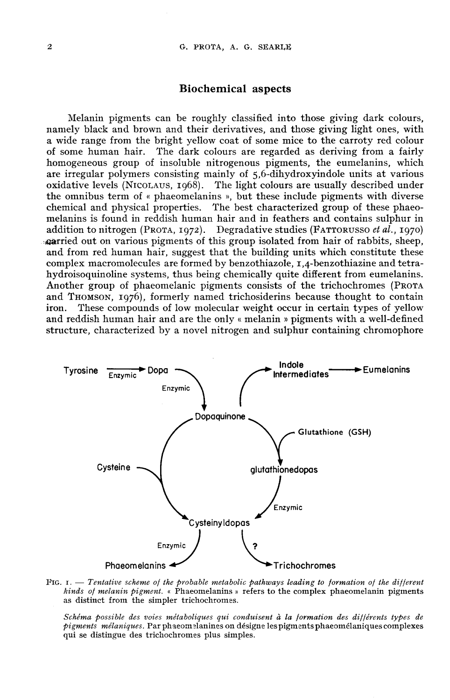#### Biochemical aspects

Melanin pigments can be roughly classified into those giving dark colours, namely black and brown and their derivatives, and those giving light ones, with a wide range from the bright yellow coat of some mice to the carroty red colour of some human hair. The dark colours are regarded as deriving from a fairly The dark colours are regarded as deriving from a fairly homogeneous group of insoluble nitrogenous pigments, the eumelanins, which **Biochemical aspects**<br>**Melanin pigments can be roughly classified into those giving dark colours,**<br>**namely black and brown and their derivatives, and those giving light ones, with<br>a wide range from the bright yellow coat o** are irregular polymers consisting mainly of  $5.6$ -dihydroxyindole units at various oxidative levels (NICOLAUS, 1968). The light colours are usually described under the omnibus term of « phaeomelanins », but these include pigments with diverse chemical and physical properties. The best characterized group of these phaeomelanins is found in reddish human hair and in feathers and contains sulphur in addition to nitrogen (PROTA, 1972). Degradative studies (FATTORUSSO *et al.*, 1970) and we want to respect the building units which consider the particle of some human hair. The dark colours are regarded as deriving from a fairly homogeneous group of insoluble nitrogenous pigments, the eumelanins, which  $\alpha$ arried out on various pigments of this group isolated from hair of rabbits, sheep, and from red human hair, suggest that the building units which constitute these complex macromolecules are formed by benzothiazole,  $I.A$ -benzothiazine and tetramelanins is found in reddish human hair and in feathers and contains sulphur in addition to nitrogen (PROTA, 1972). Degradative studies (FATTORUSSO *et al.*, 1970) **carried** out on various pigments of this group isolated f Another group of phaeomelanic pigments consists of the trichochromes (PROTA and THOMSON, 1976), formerly named trichosiderins because thought to contain antied out on various pignients of this group isolated from hard of rabolits, sheep, and from red human hair, suggest that the building units which constitute these complex macromolecules are formed by benzothiazole,  $r, 4$ iron. These compounds of low molecular weight occur in certain types of yellow and reddish human hair and are the only « melanin » pigments with a well-defined structure, characterized by a novel nitrogen and sulphur containing chromophore



FIG.  $I.$  - Tentative scheme of the probable metabolic pathways leading to formation of the different kinds of melanin pigment. « Phaeomelanins » refers to the complex phaeomelanin pigments as distinct from the simpler trichochromes.

Schéma possible des voies métaboliques qui conduisent à la formation des différents types de pigments mélaniques. Par phaeomelanines on désigne les pigments phaeomélaniques complexes qui se distingue des trichochromes plus simples.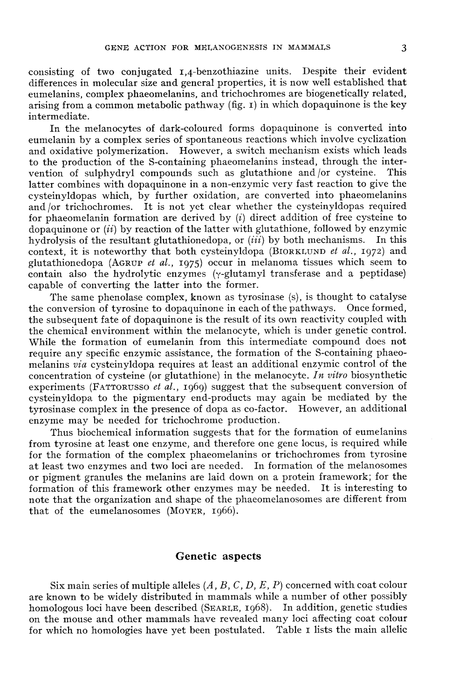GENE ACTION FOR MELANOGENESIS IN MAMMALS 3<br>consisting of two conjugated 1,4-benzothiazine units. Despite their evident differences in molecular size and general properties, it is now well established that eumelanins, complex phaeomelanins, and trichochromes are biogenetically related, arising from a common metabolic pathway (fig. r) in which dopaquinone is the key intermediate.

In the melanocytes of dark-coloured forms dopaquinone is converted into eumelanin by a complex series of spontaneous reactions which involve cyclization and oxidative polymerization. However, a switch mechanism exists which leads to the production of the S-containing phaeomelanins instead, through the inter-<br>vention of sulphydryl compounds such as glutathione and or cysteine. This vention of sulphydryl compounds such as glutathione and  $\sigma$  cysteine. latter combines with dopaquinone in a non-enzymic very fast reaction to give the cysteinyldopas which, by further oxidation, are converted into phaeomelanins and /or trichochromes. It is not yet clear whether the cysteinyldopas required for phaeomelanin formation are derived by  $(i)$  direct addition of free cysteine to dopaquinone or  $(ii)$  by reaction of the latter with glutathione, followed by enzymic<br>bydrolysis of the resultant glutathionedopa, or  $(iii)$  by both mechanisms. In this hydrolysis of the resultant glutathionedopa, or  $(iii)$  by both mechanisms. In this context, it is noteworthy that both cysteinyldopa (BIORKLUND *et al.*, 1972) and for phaeomelanin formation are derived by (*i*) direct addition of free cysteine to dopaquinone or (*ii*) by reaction of the latter with glutathione, followed by enzymic hydrolysis of the resultant glutathionedopa, or (*i* contain also the hydrolytic enzymes (y-glutamyl transferase and a peptidase) capable of converting the latter into the former.

The same phenolase complex, known as tyrosinase (s), is thought to catalyse the conversion of tyrosine to dopaquinone in each of the pathways. Once formed, the subsequent fate of dopaquinone is the result of its own reactivity coupled with the chemical environment within the melanocyte, which is under genetic control. While the formation of eumelanin from this intermediate compound does not require any specific enzymic assistance, the formation of the S-containing phaeomelanins via cysteinyldopa requires at least an additional enzymic control of the concentration of cysteine (or glutathione) in the melanocyte. In vitro biosynthetic experiments (FATTORUSSO et  $al.$ , 1969) suggest that the subsequent conversion of cysteinyldopa to the pigmentary end-products may again be mediated by the tyrosinase complex in the presence of dopa as co-factor. However, an additional enzyme may be needed for trichochrome production.

Thus biochemical information suggests that for the formation of eumelanins from tyrosine at least one enzyme, and therefore one gene locus, is required while for the formation of the complex phaeomelanins or trichochromes from tyrosine at least two enzymes and two loci are needed. In formation of the melanosomes at least two enzymes and two loci are hected. In formation of the included or pigment granules the melanins are laid down on a protein framework; for the formation of this framework other enzymes may be needed. It is inter formation of this framework other enzymes may be needed. It is interesting to note that the organization and shape of the phaeomelanosomes are different from that of the eumelanosomes (MOVER, 1966).

#### Genetic aspects

Six main series of multiple alleles  $(A, B, C, D, E, P)$  concerned with coat colour are known to be widely distributed in mammals while a number of other possibly homologous loci have been described (SEARLE, 1968). In addition, genetic studies on the mouse and other mammals have revealed many loci affecting coat colour for which no homologies have yet been postulated. Table I lists the main allelic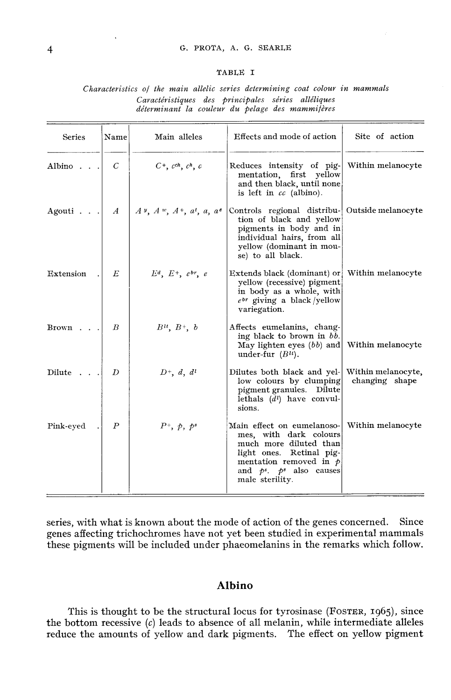#### G. PROTA, A. G. SEARLE

#### TABLE I

#### Characteristics of the main allelic series determining coat colour in mammals Caractéristiques des principales séries alléliques déterminant la couleur du pelage des mammifères

| Series              | Name             | Main alleles                        | Effects and mode of action                                                                                                                                                                    | Site of action                       |
|---------------------|------------------|-------------------------------------|-----------------------------------------------------------------------------------------------------------------------------------------------------------------------------------------------|--------------------------------------|
| Albino $\ldots$     | C                | $C^+$ , $c^{ch}$ , $c^h$ , $c$      | Reduces intensity of pig-<br>mentation, first yellow<br>and then black, until none<br>is left in $cc$ (albino).                                                                               | Within melanocyte                    |
| Agouti $\ldots$ $A$ |                  | $A\vee, A\vee, A^+, a^t, a, a^e$    | Controls regional distribu- Outside melanocyte<br>tion of black and yellow<br>pigments in body and in<br>individual hairs, from all<br>yellow (dominant in mou-<br>se) to all black.          |                                      |
| Extension           | E                | $E^d$ , $E^+$ , $e^{br}$ , $e^{-c}$ | Extends black (dominant) or Within melanocyte<br>yellow (recessive) pigment<br>in body as a whole, with<br>$e^{br}$ giving a black/yellow<br>variegation.                                     |                                      |
| $Brown \dots$       | B                | $B^{tt}, B^+, b$                    | Affects eumelanins, chang-<br>ing black to brown in bb.<br>May lighten eyes $(bb)$ and Within melanocyte<br>under-fur $(B^u)$ .                                                               |                                      |
| Dilute              | D                | $D^+$ , d, d <sup>t</sup>           | Dilutes both black and yel-<br>low colours by clumping<br>pigment granules. Dilute<br>lethals $(d^{l})$ have convul-<br>sions.                                                                | Within melanocyte,<br>changing shape |
| Pink-eyed           | $\boldsymbol{P}$ | $P^+$ , $\phi$ , $p^s$              | Main effect on eumelanoso-<br>mes, with dark colours<br>much more diluted than<br>light ones. Retinal pig-<br>mentation removed in $\phi$<br>and $p^s$ . $p^s$ also causes<br>male sterility. | Within melanocyte                    |

series, with what is known about the mode of action of the genes concerned. Since genes affecting trichochromes have not yet been studied in experimental mammals these pigments will be included under phaeomelanins in the remarks which follow.

# Albino

This is thought to be the structural locus for tyrosinase (FOSTER, 1965), since the bottom recessive  $(c)$  leads to absence of all melanin, while intermediate alleles reduce the amounts of yellow and dark pigments. The effect on yellow pigment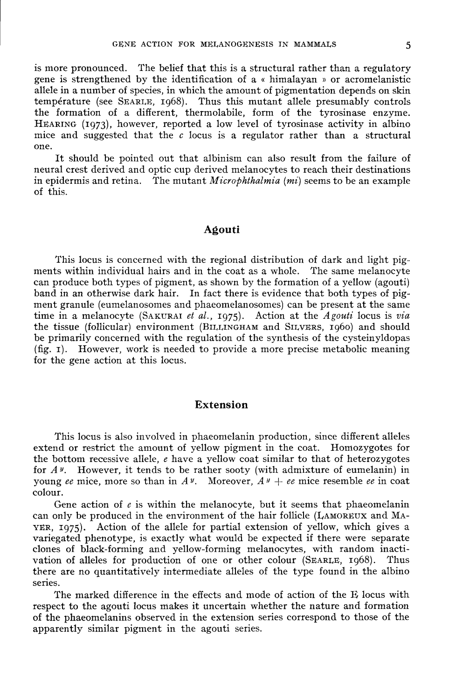is more pronounced. The belief that this is a structural rather than a regulatory gene is strengthened by the identification of a « himalayan » or acromelanistic allele in a number of species, in which the amount of pigmentation depends on skin temperature (see SEARLE, 1968). Thus this mutant allele presumably controls the formation of a different, thermolabile, form of the tyrosinase enzyme. HEARING (1973), however, reported a low level of tyrosinase activity in albino mice and suggested that the  $c$  locus is a regulator rather than a structural one.

It should be pointed out that albinism can also result from the failure of neural crest derived and optic cup derived melanocytes to reach their destinations in epidermis and retina. The mutant  $Microbthalmia$  (mi) seems to be an example of this.

#### Agouti

This locus is concerned with the regional distribution of dark and light pig-<br>ments within individual hairs and in the coat as a whole. The same melanocyte can produce both types of pigment, as shown by the formation of a yellow (agouti) band in an otherwise dark hair. In fact there is evidence that both types of pigment granule (eumelanosomes and phaeomelanosomes) can be present at the same time in a melanocyte (SAKURAI *et al.*, 1975). Action at the *Agouti* locus is *via*<br>time in a melanocyte (SAKURAI *et al.*, 1975). Action at the *Agouti* locus is *via* band in an otherwise dark hard. In fact there is evidence that both types or pig-<br>ment granule (eumelanosomes and phaeomelanosomes) can be present at the same<br>time in a melanocyte (SAKURAI *et al.*, 1975). Action at the A be primarily concerned with the regulation of the synthesis of the cysteinyldopas (fig. i). However, work is needed to provide a more precise metabolic meaning for the gene action at this locus.

# Extension

This locus is also involved in phaeomelanin production, since different alleles extend or restrict the amount of yellow pigment in the coat. Homozygotes for the bottom recessive allele,  $e$  have a yellow coat similar to that of heterozygotes for  $A^y$ . However, it tends to be rather sooty (with admixture of eumelanin) in young ee mice, more so than in  $A^y$ . Moreover,  $A^y + ee$  mice resemble ee in coat colour.

Gene action of  $e$  is within the melanocyte, but it seems that phaeomelanin can only be produced in the environment of the hair follicle (LAMOREUX and MA-YER. 1075). Action of the allele for partial extension of vellow, w Can only be produced in the environment of the hair follicle ( $LAMOREUX$  and  $MA-  
YER, 1975$ ). Action of the allele for partial extension of yellow, which gives a variegated phenotype, is exactly what would be expected if there were separate clones of black-forming and yellow-forming melanocytes, with random inactivation of alleles for production of one or other colour ( $SEARLE$ , 1968). Thus there are no quantitatively intermediate alleles of the type found in the albino series.

The marked difference in the effects and mode of action of the E locus with respect to the agouti locus makes it uncertain whether the nature and formation of the phaeomelanins observed in the extension series correspond to those of the apparently similar pigment in the agouti series.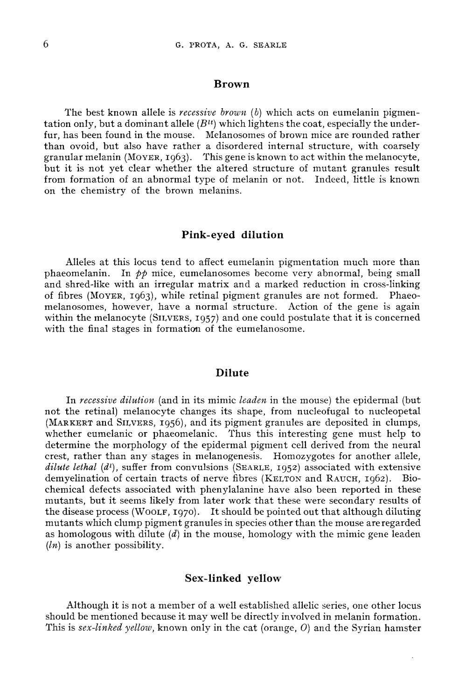#### Brown

The best known allele is recessive brown  $(b)$  which acts on eumelanin pigmentation only, but a dominant allele  $(B<sup>tt</sup>)$  which lightens the coat, especially the underfur, has been found in the mouse. Melanosomes of brown mice are rounded rather than ovoid, but also have rather a disordered internal structure, with coarsely granular melanin (MOYER, 1963). This gene is known to act within the melanocyte, fur, has been found in the mouse. Melanosomes of brown mice are rounded rather than ovoid, but also have rather a disordered internal structure, with coarsely granular melanin (MovER, 1963). This gene is known to act withi from formation of an abnormal type of melanin or not. Indeed, little is known on the chemistry of the brown melanins.

#### Pink-eyed dilution

Alleles at this locus tend to affect eumelanin pigmentation much more than phaeomelanin. In  $p\phi$  mice, eumelanosomes become very abnormal, being small and shred-like with an irregular matrix and a marked reduction in cross-linking of fibres (MOYER, 1963), while retinal pigment granules are not formed. Phaeomelanosomes, however, have a normal structure. Action of the gene is again within the melanocyte (SILVERS, 1957) and one could postulate that it is concerned with the final stages in formation of the eumelanosome.

### Dilute

In recessive dilution (and in its mimic leaden in the mouse) the epidermal (but not the retinal) melanocyte changes its shape, from nucleofugal to nucleopetal (MARKERT and SILVERS, 1956), and its pigment granules are deposited in clumps, **Dilute**<br>
In *recessive dilution* (and in its mimic *leaden* in the mouse) the epidermal (but<br>
not the retinal) melanocyte changes its shape, from nucleofugal to nucleopetal<br>
(MARKERT and SILVERS, 1956), and its pigment gr determine the morphology of the epidermal pigment cell derived from the neural crest, rather than any stages in melanogenesis. Homozygotes for another allele, determine the morphology of the epidermal pigment cell derived from the neural<br>crest, rather than any stages in melanogenesis. Homozygotes for another allele,<br>*dilute lethal* (*d*<sup>1</sup>), suffer from convulsions (SEARLE, 1952 chemical defects associated with phenylalanine have also been reported in these mutants, but it seems likely from later work that these were secondary results of the disease process (W00LF, 1970). It should be pointed out mutants, but it seems likely from later work that these were secondary results of the disease process (WOOLF, 1970). It should be pointed out that although diluting mutants which clump pigment granules in species other than the mouse are regarded as homologous with dilute  $(d)$  in the mouse, homology with the mimic gene leaden  $(ln)$  is another possibility.

#### Sex-linked yellow

Although it is not a member of a well established allelic series, one other locus should be mentioned because it may well be directly involved in melanin formation. This is sex-linked yellow, known only in the cat (orange,  $O$ ) and the Syrian hamster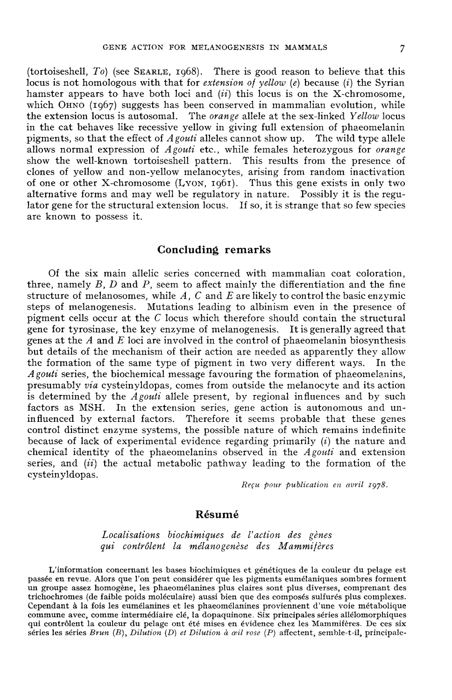(tortoiseshell,  $To$ ) (see SEARLE, 1968). There is good reason to believe that this locus is not homologous with that for *extension of vellow (e)* because (i) the Syrian hamster appears to have both loci and  $(ii)$  this locus is on the X-chromosome, becus is not homologous with that for *extension of yellow* (e) because (i) the Syrian hamster appears to have both loci and (ii) this locus is on the X-chromosome, which OHNO (1967) suggests has been conserved in mammali the extension locus is autosomal. The *orange* allele at the sex-linked Yellow locus in the cat behaves like recessive yellow in giving full extension of phaeomelanin pigments, so that the effect of  $A$ gouti alleles cannot show up. The wild type allele allows normal expression of  $A$ gouti etc., while females heterozygous for orange show the well-known tortoiseshell pattern. This results from the presence of clones of yellow and non-yellow melanocytes, arising from random inactivation of one or other X-chromosome (Lyon, 1961). Thus this gene exists in only two alternative forms and may well be regulatory in nature. Possibly it is the regulator gene for the structural extension locus. If so, it is strange that so few species are known to possess it.

# Concluding remarks

Of the six main allelic series concerned with mammalian coat coloration, three, namely  $B$ ,  $D$  and  $P$ , seem to affect mainly the differentiation and the fine structure of melanosomes, while  $A, C$  and  $E$  are likely to control the basic enzymic steps of melanogenesis. Mutations leading to albinism even in the presence of pigment cells occur at the C locus which therefore should contain the structural gene for tyrosinase, the key enzyme of melanogenesis. It is generally agreed that genes at the  $A$  and  $E$  loci are involved in the control of phaeomelanin biosynthesis but details of the mechanism of their action are needed as apparently they allow the formation of the same type of pigment in two very different ways. In the A gouti series, the biochemical message favouring the formation of phaeomelanins, presumably via cysteinyldopas, comes from outside the melanocyte and its action is determined by the  $A$ gouti allele present, by regional influences and by such factors as MSH. In the extension series, gene action is autonomous and uninfluenced by external factors. Therefore it seems probable that these genes control distinct enzyme systems, the possible nature of which remains indefinite because of lack of experimental evidence regarding primarily  $(i)$  the nature and chemical identity of the phaeomelanins observed in the  $A$ gouti and extension series, and  $(ii)$  the actual metabolic pathway leading to the formation of the cysteinyldopas.

Reçu pour publication en avril 1978.

#### Résumé

Localisations biochimiques de l'action des gènes qui contrôlent la mélanogenèse des Mammifères

L'information concernant les bases biochimiques et génétiques de la couleur du pelage est passée en revue. Alors que l'on peut considérer que les pigments eumélaniques sombres forment un groupe assez homogène, les phaeomélanines plus claires sont plus diverses, comprenant des trichochromes (de faible poids moléculaire) aussi bien que des composés sulfurés plus complexes. commune avec, comme intermédiaire clé, la dopaquinone. Six principales séries allélomorphiques qui contrôlent la couleur du pelage ont été mises en évidence chez les Mammifères. De ces six séries les séries Brun  $(B)$ , Dilution (D) et Dilution à  $\alpha$ il rose (P) affectent, semble-t-il, principale